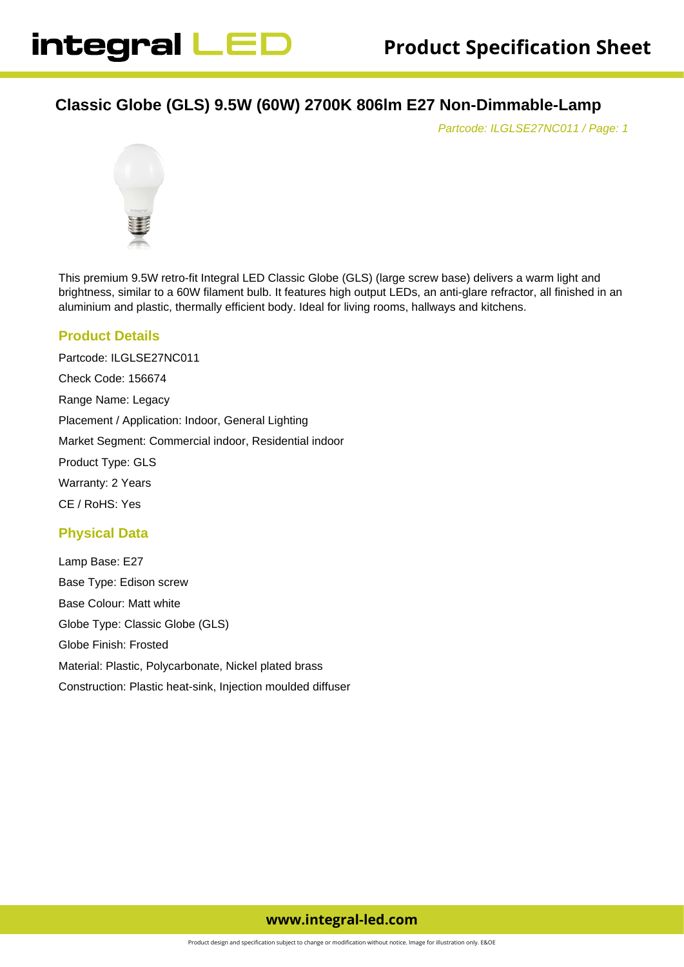# **Classic Globe (GLS) 9.5W (60W) 2700K 806lm E27 Non-Dimmable-Lamp**

Partcode: ILGLSE27NC011 / Page: 1



This premium 9.5W retro-fit Integral LED Classic Globe (GLS) (large screw base) delivers a warm light and brightness, similar to a 60W filament bulb. It features high output LEDs, an anti-glare refractor, all finished in an aluminium and plastic, thermally efficient body. Ideal for living rooms, hallways and kitchens.

# **Product Details**

Partcode: ILGLSE27NC011 Check Code: 156674 Range Name: Legacy Placement / Application: Indoor, General Lighting Market Segment: Commercial indoor, Residential indoor Product Type: GLS Warranty: 2 Years CE / RoHS: Yes

# **Physical Data**

Lamp Base: E27 Base Type: Edison screw Base Colour: Matt white Globe Type: Classic Globe (GLS) Globe Finish: Frosted Material: Plastic, Polycarbonate, Nickel plated brass Construction: Plastic heat-sink, Injection moulded diffuser

# **www.integral-led.com**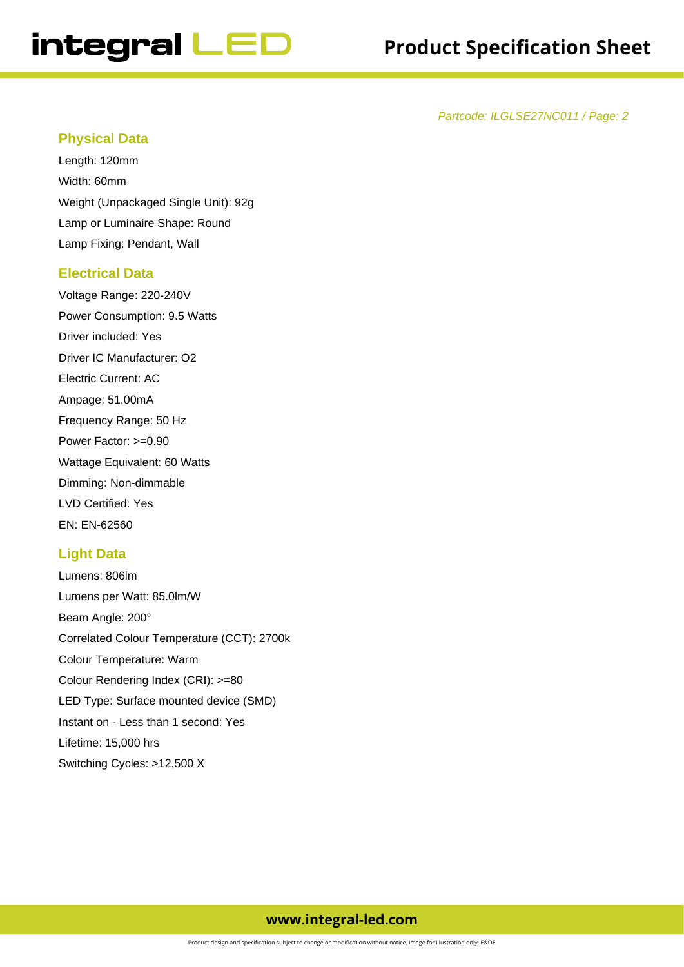# integral LED

Partcode: ILGLSE27NC011 / Page: 2

#### **Physical Data**

Length: 120mm Width: 60mm Weight (Unpackaged Single Unit): 92g Lamp or Luminaire Shape: Round Lamp Fixing: Pendant, Wall

#### **Electrical Data**

Voltage Range: 220-240V Power Consumption: 9.5 Watts Driver included: Yes Driver IC Manufacturer: O2 Electric Current: AC Ampage: 51.00mA Frequency Range: 50 Hz Power Factor: >=0.90 Wattage Equivalent: 60 Watts Dimming: Non-dimmable LVD Certified: Yes EN: EN-62560

# **Light Data**

Lumens: 806lm Lumens per Watt: 85.0lm/W Beam Angle: 200° Correlated Colour Temperature (CCT): 2700k Colour Temperature: Warm Colour Rendering Index (CRI): >=80 LED Type: Surface mounted device (SMD) Instant on - Less than 1 second: Yes Lifetime: 15,000 hrs Switching Cycles: >12,500 X

# **www.integral-led.com**